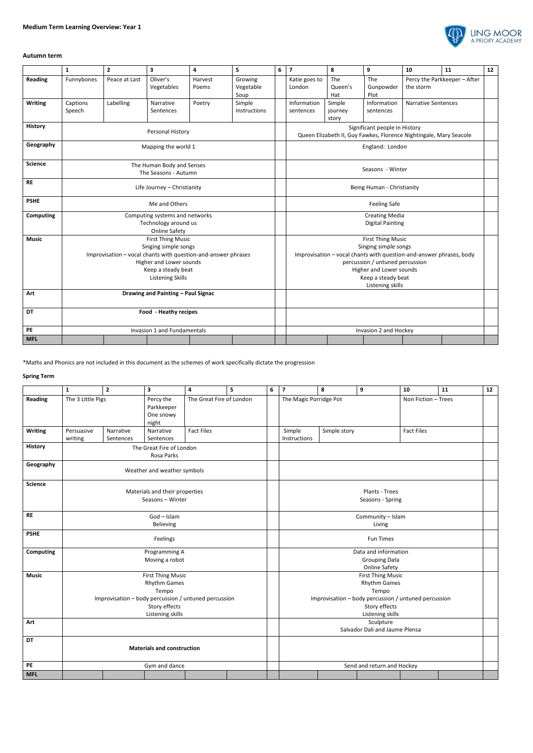

## **Autumn term**

|                  | $\mathbf{1}$                                                                                                                                                                                  | $\overline{2}$ | 3                      | 4                | 5                            | 6 | $\overline{7}$                                                                                                                                                                                                                  | 8                          | 9                        | 10                                        | 11 | 12 |
|------------------|-----------------------------------------------------------------------------------------------------------------------------------------------------------------------------------------------|----------------|------------------------|------------------|------------------------------|---|---------------------------------------------------------------------------------------------------------------------------------------------------------------------------------------------------------------------------------|----------------------------|--------------------------|-------------------------------------------|----|----|
| Reading          | Funnybones                                                                                                                                                                                    | Peace at Last  | Oliver's<br>Vegetables | Harvest<br>Poems | Growing<br>Vegetable<br>Soup |   | Katie goes to<br>London                                                                                                                                                                                                         | The<br>Queen's<br>Hat      | The<br>Gunpowder<br>Plot | Percy the Parkkeeper - After<br>the storm |    |    |
| <b>Writing</b>   | Captions<br>Speech                                                                                                                                                                            | Labelling      | Narrative<br>Sentences | Poetry           | Simple<br>Instructions       |   | Information<br>sentences                                                                                                                                                                                                        | Simple<br>journey<br>story | Information<br>sentences | <b>Narrative Sentences</b>                |    |    |
| <b>History</b>   | Personal History                                                                                                                                                                              |                |                        |                  |                              |   | Significant people in History<br>Queen Elizabeth II, Guy Fawkes, Florence Nightingale, Mary Seacole                                                                                                                             |                            |                          |                                           |    |    |
| Geography        | Mapping the world 1                                                                                                                                                                           |                |                        |                  |                              |   | England: London                                                                                                                                                                                                                 |                            |                          |                                           |    |    |
| <b>Science</b>   | The Human Body and Senses<br>The Seasons - Autumn                                                                                                                                             |                |                        |                  |                              |   | Seasons - Winter                                                                                                                                                                                                                |                            |                          |                                           |    |    |
| <b>RE</b>        | Life Journey - Christianity                                                                                                                                                                   |                |                        |                  |                              |   |                                                                                                                                                                                                                                 | Being Human - Christianity |                          |                                           |    |    |
| <b>PSHE</b>      | Me and Others                                                                                                                                                                                 |                |                        |                  |                              |   | <b>Feeling Safe</b>                                                                                                                                                                                                             |                            |                          |                                           |    |    |
| <b>Computing</b> | Computing systems and networks<br>Technology around us<br><b>Online Safety</b>                                                                                                                |                |                        |                  |                              |   | <b>Creating Media</b><br><b>Digital Painting</b>                                                                                                                                                                                |                            |                          |                                           |    |    |
| <b>Music</b>     | <b>First Thing Music</b><br>Singing simple songs<br>Improvisation - vocal chants with question-and-answer phrases<br>Higher and Lower sounds<br>Keep a steady beat<br><b>Listening Skills</b> |                |                        |                  |                              |   | <b>First Thing Music</b><br>Singing simple songs<br>Improvisation - vocal chants with question-and-answer phrases, body<br>percussion / untuned percussion<br>Higher and Lower sounds<br>Keep a steady beat<br>Listening skills |                            |                          |                                           |    |    |
| Art              | Drawing and Painting - Paul Signac                                                                                                                                                            |                |                        |                  |                              |   |                                                                                                                                                                                                                                 |                            |                          |                                           |    |    |
| <b>DT</b>        | Food - Heathy recipes                                                                                                                                                                         |                |                        |                  |                              |   |                                                                                                                                                                                                                                 |                            |                          |                                           |    |    |
| PE               | Invasion 1 and Fundamentals                                                                                                                                                                   |                |                        |                  |                              |   |                                                                                                                                                                                                                                 |                            | Invasion 2 and Hockey    |                                           |    |    |
| <b>MFL</b>       |                                                                                                                                                                                               |                |                        |                  |                              |   |                                                                                                                                                                                                                                 |                            |                          |                                           |    |    |

\*Maths and Phonics are not included in this document as the schemes of work specifically dictate the progression

## **Spring Term**

|                  | $\mathbf{1}$                                                                                                                                          | $\overline{2}$         | $\mathbf{3}$                                  | $\overline{\mathbf{4}}$  | 5 | 6 | $\overline{\mathbf{z}}$                                                                                                                               | 8            | 9 | 10                  | 11 | 12 |  |
|------------------|-------------------------------------------------------------------------------------------------------------------------------------------------------|------------------------|-----------------------------------------------|--------------------------|---|---|-------------------------------------------------------------------------------------------------------------------------------------------------------|--------------|---|---------------------|----|----|--|
| <b>Reading</b>   | The 3 Little Pigs                                                                                                                                     |                        | Percy the<br>Parkkeeper<br>One snowy<br>night | The Great Fire of London |   |   | The Magic Porridge Pot                                                                                                                                |              |   | Non Fiction - Trees |    |    |  |
| <b>Writing</b>   | Persuasive<br>writing                                                                                                                                 | Narrative<br>Sentences | Narrative<br>Sentences                        | <b>Fact Files</b>        |   |   | Simple<br>Instructions                                                                                                                                | Simple story |   | <b>Fact Files</b>   |    |    |  |
| <b>History</b>   | The Great Fire of London<br>Rosa Parks                                                                                                                |                        |                                               |                          |   |   |                                                                                                                                                       |              |   |                     |    |    |  |
| Geography        | Weather and weather symbols                                                                                                                           |                        |                                               |                          |   |   |                                                                                                                                                       |              |   |                     |    |    |  |
| <b>Science</b>   | Materials and their properties<br>Seasons - Winter                                                                                                    |                        |                                               |                          |   |   | Plants - Trees<br>Seasons - Spring                                                                                                                    |              |   |                     |    |    |  |
| RE               | God - Islam<br>Believing                                                                                                                              |                        |                                               |                          |   |   | Community - Islam<br>Living                                                                                                                           |              |   |                     |    |    |  |
| <b>PSHE</b>      | Feelings                                                                                                                                              |                        |                                               |                          |   |   | <b>Fun Times</b>                                                                                                                                      |              |   |                     |    |    |  |
| <b>Computing</b> | Programming A<br>Moving a robot                                                                                                                       |                        |                                               |                          |   |   | Data and information<br><b>Grouping Data</b><br><b>Online Safety</b>                                                                                  |              |   |                     |    |    |  |
| <b>Music</b>     | <b>First Thing Music</b><br><b>Rhythm Games</b><br>Tempo<br>Improvisation - body percussion / untuned percussion<br>Story effects<br>Listening skills |                        |                                               |                          |   |   | <b>First Thing Music</b><br><b>Rhythm Games</b><br>Tempo<br>Improvisation - body percussion / untuned percussion<br>Story effects<br>Listening skills |              |   |                     |    |    |  |
| Art              |                                                                                                                                                       |                        |                                               |                          |   |   | Sculpture<br>Salvador Dali and Jaume Plensa                                                                                                           |              |   |                     |    |    |  |
| DT               | <b>Materials and construction</b>                                                                                                                     |                        |                                               |                          |   |   |                                                                                                                                                       |              |   |                     |    |    |  |
| PE               | Gym and dance                                                                                                                                         |                        |                                               |                          |   |   | Send and return and Hockey                                                                                                                            |              |   |                     |    |    |  |
| <b>MFL</b>       |                                                                                                                                                       |                        |                                               |                          |   |   |                                                                                                                                                       |              |   |                     |    |    |  |